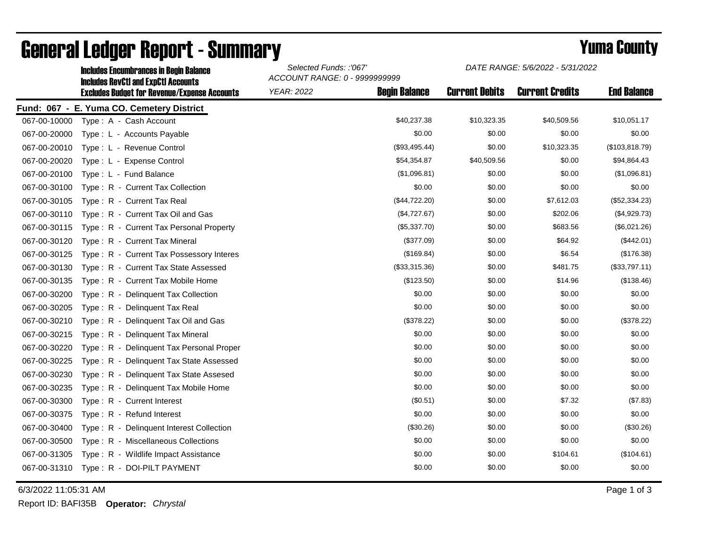| <b>Includes Encumbrances in Begin Balance</b><br><b>Includes RevCtI and ExpCtI Accounts</b> |                   | Selected Funds: :'067'<br>ACCOUNT RANGE: 0 - 9999999999 |                       | DATE RANGE: 5/6/2022 - 5/31/2022 |                    |  |
|---------------------------------------------------------------------------------------------|-------------------|---------------------------------------------------------|-----------------------|----------------------------------|--------------------|--|
| <b>Excludes Budget for Revenue/Expense Accounts</b>                                         | <b>YEAR: 2022</b> | <b>Begin Balance</b>                                    | <b>Current Debits</b> | <b>Current Credits</b>           | <b>End Balance</b> |  |
| Fund: 067 - E. Yuma CO. Cemetery District                                                   |                   |                                                         |                       |                                  |                    |  |
| Type: A - Cash Account<br>067-00-10000                                                      |                   | \$40,237.38                                             | \$10,323.35           | \$40,509.56                      | \$10,051.17        |  |
| 067-00-20000<br>Type: L - Accounts Payable                                                  |                   | \$0.00                                                  | \$0.00                | \$0.00                           | \$0.00             |  |
| 067-00-20010<br>Type: L - Revenue Control                                                   |                   | (\$93,495.44)                                           | \$0.00                | \$10,323.35                      | (\$103,818.79)     |  |
| 067-00-20020<br>Type: L - Expense Control                                                   |                   | \$54,354.87                                             | \$40,509.56           | \$0.00                           | \$94,864.43        |  |
| 067-00-20100<br>Type: L - Fund Balance                                                      |                   | (\$1,096.81)                                            | \$0.00                | \$0.00                           | (\$1,096.81)       |  |
| 067-00-30100<br>Type: R - Current Tax Collection                                            |                   | \$0.00                                                  | \$0.00                | \$0.00                           | \$0.00             |  |
| 067-00-30105<br>Type: R - Current Tax Real                                                  |                   | (\$44,722.20)                                           | \$0.00                | \$7,612.03                       | (\$52,334.23)      |  |
| 067-00-30110<br>Type: R - Current Tax Oil and Gas                                           |                   | (\$4,727.67)                                            | \$0.00                | \$202.06                         | (\$4,929.73)       |  |
| 067-00-30115<br>Type: R - Current Tax Personal Property                                     |                   | (\$5,337.70)                                            | \$0.00                | \$683.56                         | (\$6,021.26)       |  |
| Type: R - Current Tax Mineral<br>067-00-30120                                               |                   | (\$377.09)                                              | \$0.00                | \$64.92                          | (\$442.01)         |  |
| 067-00-30125<br>Type: R - Current Tax Possessory Interes                                    |                   | (\$169.84)                                              | \$0.00                | \$6.54                           | (\$176.38)         |  |
| 067-00-30130<br>Type: R - Current Tax State Assessed                                        |                   | (\$33,315.36)                                           | \$0.00                | \$481.75                         | (\$33,797.11)      |  |
| 067-00-30135<br>Type: R - Current Tax Mobile Home                                           |                   | (\$123.50)                                              | \$0.00                | \$14.96                          | (\$138.46)         |  |
| 067-00-30200<br>Type: R - Delinquent Tax Collection                                         |                   | \$0.00                                                  | \$0.00                | \$0.00                           | \$0.00             |  |
| 067-00-30205<br>Type: R - Delinquent Tax Real                                               |                   | \$0.00                                                  | \$0.00                | \$0.00                           | \$0.00             |  |
| 067-00-30210<br>Type: R - Delinquent Tax Oil and Gas                                        |                   | (\$378.22)                                              | \$0.00                | \$0.00                           | (\$378.22)         |  |
| 067-00-30215<br>Type: R - Delinquent Tax Mineral                                            |                   | \$0.00                                                  | \$0.00                | \$0.00                           | \$0.00             |  |
| 067-00-30220<br>Type: R - Delinquent Tax Personal Proper                                    |                   | \$0.00                                                  | \$0.00                | \$0.00                           | \$0.00             |  |
| 067-00-30225<br>Type: R - Delinguent Tax State Assessed                                     |                   | \$0.00                                                  | \$0.00                | \$0.00                           | \$0.00             |  |
| 067-00-30230<br>Type: R - Delinquent Tax State Assesed                                      |                   | \$0.00                                                  | \$0.00                | \$0.00                           | \$0.00             |  |
| 067-00-30235<br>Type: R - Delinguent Tax Mobile Home                                        |                   | \$0.00                                                  | \$0.00                | \$0.00                           | \$0.00             |  |
| 067-00-30300<br>Type: R - Current Interest                                                  |                   | (\$0.51)                                                | \$0.00                | \$7.32                           | (\$7.83)           |  |
| 067-00-30375<br>Type: R - Refund Interest                                                   |                   | \$0.00                                                  | \$0.00                | \$0.00                           | \$0.00             |  |
| 067-00-30400<br>Type: R - Delinquent Interest Collection                                    |                   | (\$30.26)                                               | \$0.00                | \$0.00                           | (\$30.26)          |  |
| 067-00-30500<br>Type: R - Miscellaneous Collections                                         |                   | \$0.00                                                  | \$0.00                | \$0.00                           | \$0.00             |  |
| 067-00-31305<br>Type: R - Wildlife Impact Assistance                                        |                   | \$0.00                                                  | \$0.00                | \$104.61                         | (\$104.61)         |  |
| 067-00-31310<br>Type: R - DOI-PILT PAYMENT                                                  |                   | \$0.00                                                  | \$0.00                | \$0.00                           | \$0.00             |  |

## General Ledger Report - Summary **Example 2018** Yuma County

6/3/2022 11:05:31 AM Page 1 of 3

Report ID: BAFI35B **Operator:** *Chrystal*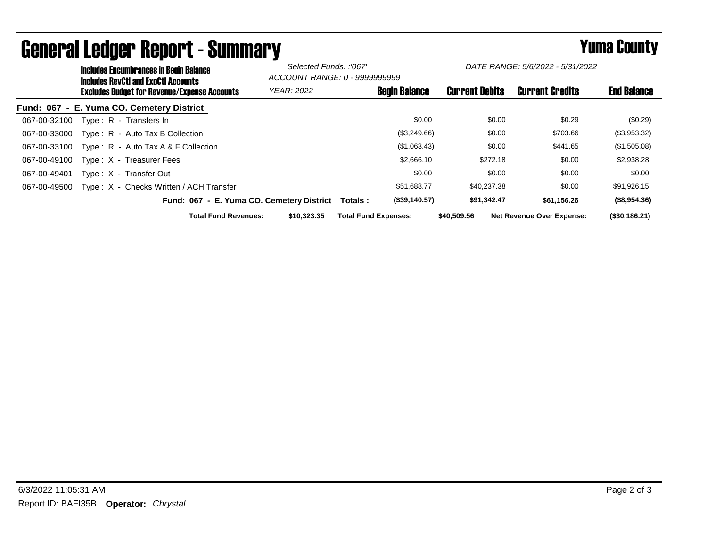| <b>Includes Encumbrances in Begin Balance</b><br>Includes RevCtI and ExpCtI Accounts |                                           | Selected Funds: :'067'<br>ACCOUNT RANGE: 0 - 9999999999 |                       | DATE RANGE: 5/6/2022 - 5/31/2022 |                    |
|--------------------------------------------------------------------------------------|-------------------------------------------|---------------------------------------------------------|-----------------------|----------------------------------|--------------------|
| <b>Excludes Budget for Revenue/Expense Accounts</b>                                  | <b>YEAR: 2022</b>                         | <b>Begin Balance</b>                                    | <b>Current Debits</b> | <b>Current Credits</b>           | <b>End Balance</b> |
| Fund: 067 - E. Yuma CO. Cemetery District                                            |                                           |                                                         |                       |                                  |                    |
| 067-00-32100<br>Type: R - Transfers In                                               |                                           | \$0.00                                                  | \$0.00                | \$0.29                           | (\$0.29)           |
| Type: R - Auto Tax B Collection<br>067-00-33000                                      |                                           | (\$3,249.66)                                            | \$0.00                | \$703.66                         | (\$3,953.32)       |
| Type : $R -$ Auto Tax A & F Collection<br>067-00-33100                               |                                           | (\$1,063.43)                                            | \$0.00                | \$441.65                         | (\$1,505.08)       |
| 067-00-49100<br>Type: X - Treasurer Fees                                             |                                           | \$2,666.10                                              | \$272.18              | \$0.00                           | \$2,938.28         |
| 067-00-49401<br>Type: X - Transfer Out                                               |                                           | \$0.00                                                  | \$0.00                | \$0.00                           | \$0.00             |
| Type: X - Checks Written / ACH Transfer<br>067-00-49500                              |                                           | \$51.688.77                                             | \$40.237.38           | \$0.00                           | \$91,926.15        |
|                                                                                      | Fund: 067 - E. Yuma CO. Cemetery District | (\$39,140.57)<br>Totals :                               | \$91,342.47           | \$61.156.26                      | (\$8,954.36)       |
| <b>Total Fund Revenues:</b>                                                          | \$10,323,35                               | <b>Total Fund Expenses:</b>                             | \$40,509.56           | <b>Net Revenue Over Expense:</b> | (\$30,186.21)      |

## General Ledger Report - Summary **Example 2018** Yuma County